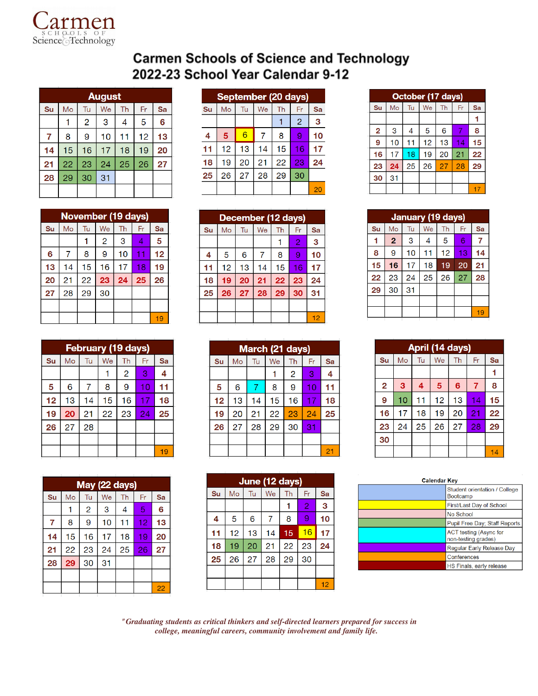

## **Carmen Schools of Science and Technology** 2022-23 School Year Calendar 9-12

|    | <b>August</b> |    |    |    |    |    |  |  |
|----|---------------|----|----|----|----|----|--|--|
| Su | Mo            | Tu | We | Th | Fr | Sa |  |  |
|    |               | 2  | 3  | 4  | 5  | 6  |  |  |
| 7  | 8             | 9  | 10 | 11 | 12 | 13 |  |  |
| 14 | 15            | 16 | 17 | 18 | 19 | 20 |  |  |
| 21 | 22            | 23 | 24 | 25 | 26 | 27 |  |  |
| 28 | 29            | 30 | 31 |    |    |    |  |  |
|    |               |    |    |    |    |    |  |  |

| September (20 days) |    |    |    |    |                |    |  |
|---------------------|----|----|----|----|----------------|----|--|
| Su                  | Mo | Tu | We | Th | Fr             | Sa |  |
|                     |    |    |    |    | $\overline{2}$ | 3  |  |
| 4                   | 5  | 6  |    | 8  | 9              | 10 |  |
| 11                  | 12 | 13 | 14 | 15 | 16             | 17 |  |
| 18                  | 19 | 20 | 21 | 22 | 23             | 24 |  |
| 25                  | 26 | 27 | 28 | 29 | 30             |    |  |
|                     |    |    |    |    |                | 20 |  |

|    | October (17 days) |    |    |    |    |    |  |
|----|-------------------|----|----|----|----|----|--|
| Su | Mo                | Tu | We | Th | Fr | Sa |  |
|    |                   |    |    |    |    |    |  |
| 2  | 3                 | 4  | 5  | 6  |    | 8  |  |
| 9  | 10                | 11 | 12 | 13 | 14 | 15 |  |
| 16 | 17                | 18 | 19 | 20 | 21 | 22 |  |
| 23 | 24                | 25 | 26 | 27 | 28 | 29 |  |
| 30 | 31                |    |    |    |    |    |  |
|    |                   |    |    |    |    |    |  |

|    | January (19 days) |    |    |    |    |    |  |
|----|-------------------|----|----|----|----|----|--|
| Su | Mo                | Tu | We | Th | Fr | Sa |  |
| 1  | $\overline{2}$    | 3  | 4  | 5  | 6  | 7  |  |
| 8  | 9                 | 10 | 11 | 12 | 13 | 14 |  |
| 15 | 16                | 17 | 18 | 19 | 20 | 21 |  |
| 22 | 23                | 24 | 25 | 26 | 27 | 28 |  |
| 29 | 30                | 31 |    |    |    |    |  |
|    |                   |    |    |    |    |    |  |
|    |                   |    |    |    |    | 19 |  |

| April (14 days) |    |    |    |                 |                |    |  |  |
|-----------------|----|----|----|-----------------|----------------|----|--|--|
| Su              | Mo | Tu | We | Th              | Fr             | Sa |  |  |
|                 |    |    |    |                 |                |    |  |  |
| $\overline{2}$  | 3  | 4  | 5  | $6\phantom{1}6$ | $\overline{7}$ | 8  |  |  |
| 9               | 10 | 11 | 12 | 13              | 14             | 15 |  |  |
| 16              | 17 | 18 | 19 | 20              | 21             | 22 |  |  |
| 23              | 24 | 25 | 26 | 27              | 28             | 29 |  |  |
| 30              |    |    |    |                 |                |    |  |  |
|                 |    |    |    |                 |                | 14 |  |  |

| <b>Calendar Key</b> |                                                  |  |  |  |  |
|---------------------|--------------------------------------------------|--|--|--|--|
|                     | Student orientation / College<br><b>Bootcamp</b> |  |  |  |  |
|                     | First/Last Day of School                         |  |  |  |  |
|                     | No School                                        |  |  |  |  |
|                     | Pupil Free Day; Staff Reports                    |  |  |  |  |
|                     | ACT testing (Async for<br>non-testing grades)    |  |  |  |  |
|                     | Regular Early Release Day                        |  |  |  |  |
|                     | Conferences                                      |  |  |  |  |
|                     | HS Finals, early release                         |  |  |  |  |

November (19 days) Su  $Mo$ Tu We **Th**  $Fr^{-}$ Sa  $\mathbf{1}$  $\overline{2}$  $\overline{3}$  $\overline{4}$  $\overline{7}$ 

| February (19 days) |                 |    |    |                |    |    |  |
|--------------------|-----------------|----|----|----------------|----|----|--|
| Su                 | Mo              | Tu | We | Th             | Fr | Sa |  |
|                    |                 |    |    | $\overline{2}$ | 3  | 4  |  |
| 5                  | 6               | 7  | 8  | 9              | 10 | 11 |  |
| 12                 | 13              | 14 | 15 | 16             | 17 | 18 |  |
| 19                 | 20              | 21 | 22 | 23             | 24 | 25 |  |
| 26                 | $\overline{27}$ | 28 |    |                |    |    |  |
|                    |                 |    |    |                |    |    |  |
|                    |                 |    |    |                |    | 19 |  |

| May (22 days) |    |    |    |    |    |    |  |  |
|---------------|----|----|----|----|----|----|--|--|
| Su            | Mo | Tu | We | Th | Fr | Sa |  |  |
|               |    | 2  | 3  | 4  | 5  | 6  |  |  |
| 7             | 8  | 9  | 10 | 11 | 12 | 13 |  |  |
| 14            | 15 | 16 | 17 | 18 | 19 | 20 |  |  |
| 21            | 22 | 23 | 24 | 25 | 26 | 27 |  |  |
| 28            | 29 | 30 | 31 |    |    |    |  |  |
|               |    |    |    |    |    |    |  |  |
|               |    |    |    |    |    | 22 |  |  |

| March (21 days) |    |    |    |    |    |    |  |  |
|-----------------|----|----|----|----|----|----|--|--|
| Su              | Mo | Tu | We | Th | Fr | Sa |  |  |
|                 |    |    |    | 2  | 3  | 4  |  |  |
| 5               | 6  | 7  | 8  | 9  | 10 | 11 |  |  |
| 12              | 13 | 14 | 15 | 16 | 17 | 18 |  |  |
| 19              | 20 | 21 | 22 | 23 | 24 | 25 |  |  |
| 26              | 27 | 28 | 29 | 30 | 31 |    |  |  |
|                 |    |    |    |    |    |    |  |  |
|                 |    |    |    |    |    | 21 |  |  |

| June (12 days) |    |    |    |    |                |    |  |  |
|----------------|----|----|----|----|----------------|----|--|--|
| Su             | Mo | Tu | We | Th | Fr             | Sa |  |  |
|                |    |    |    |    | $\overline{2}$ | 3  |  |  |
| 4              | 5  | 6  | 7  | 8  | 9              | 10 |  |  |
| 11             | 12 | 13 | 14 | 15 | 16             | 17 |  |  |
| 18             | 19 | 20 | 21 | 22 | 23             | 24 |  |  |
| 25             | 26 | 27 | 28 | 29 | 30             |    |  |  |
|                |    |    |    |    |                |    |  |  |
|                |    |    |    |    |                | 12 |  |  |

*"Graduating students as critical thinkers and self-directed learners prepared for success in college, meaningful careers, community involvement and family life.*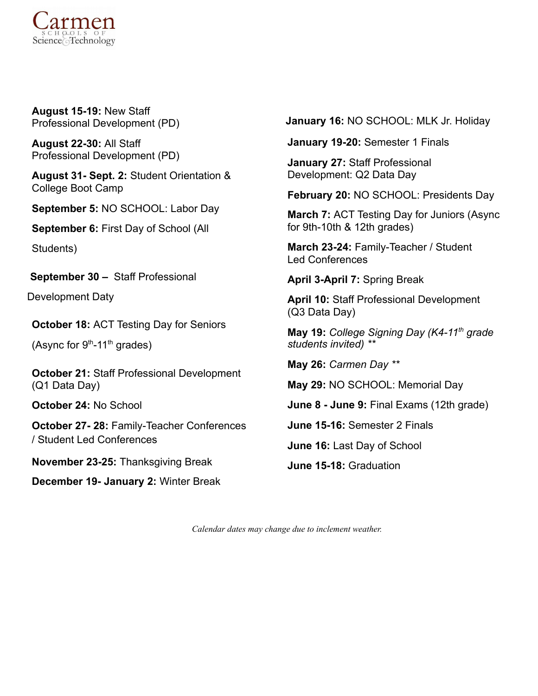

**August 15-19:** New Staff Professional Development (PD)

**August 22-30:** All Staff Professional Development (PD)

**August 31- Sept. 2:** Student Orientation & College Boot Camp

**September 5:** NO SCHOOL: Labor Day

**September 6:** First Day of School (All

Students)

**September 30 –** Staff Professional

Development Daty

**October 18:** ACT Testing Day for Seniors

(Async for  $9<sup>th</sup>-11<sup>th</sup>$  grades)

**October 21:** Staff Professional Development (Q1 Data Day)

**October 24:** No School

**October 27- 28:** Family-Teacher Conferences / Student Led Conferences

**November 23-25:** Thanksgiving Break

**December 19- January 2:** Winter Break

**January 16:** NO SCHOOL: MLK Jr. Holiday

**January 19-20:** Semester 1 Finals

**January 27:** Staff Professional Development: Q2 Data Day

**February 20:** NO SCHOOL: Presidents Day

**March 7:** ACT Testing Day for Juniors (Async for 9th-10th & 12th grades)

**March 23-24:** Family-Teacher / Student Led Conferences

**April 3-April 7:** Spring Break

**April 10:** Staff Professional Development (Q3 Data Day)

**May 19:** *College Signing Day (K4-11 th grade students invited) \*\**

**May 26:** *Carmen Day \*\**

**May 29:** NO SCHOOL: Memorial Day

**June 8 - June 9:** Final Exams (12th grade)

**June 15-16:** Semester 2 Finals

**June 16:** Last Day of School

**June 15-18:** Graduation

*Calendar dates may change due to inclement weather.*